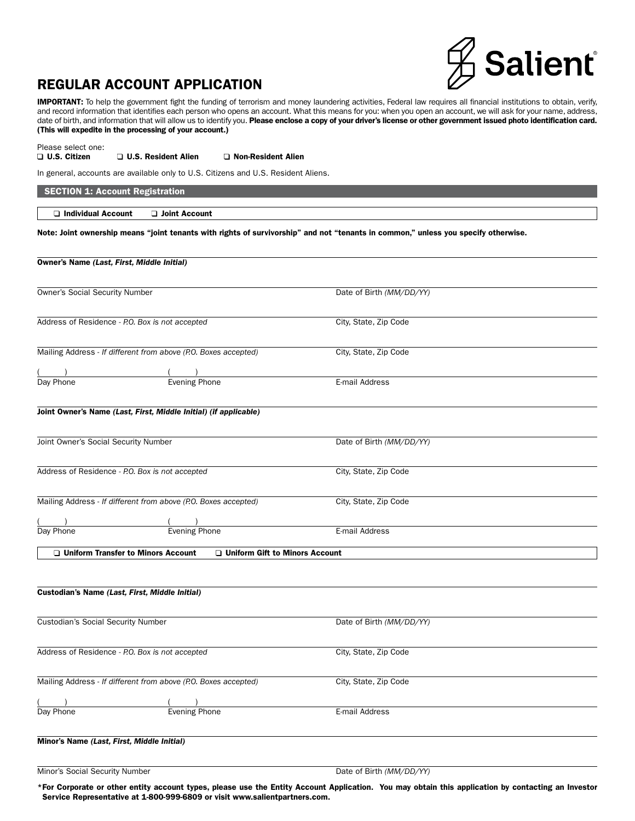# **Salient**

# REGULAR ACCOUNT APPLICATION

IMPORTANT: To help the government fight the funding of terrorism and money laundering activities, Federal law requires all financial institutions to obtain, verify, and record information that identifies each person who opens an account. What this means for you: when you open an account, we will ask for your name, address, date of birth, and information that will allow us to identify you. Please enclose a copy of your driver's license or other government issued photo identification card. (This will expedite in the processing of your account.)

Please select one:<br>□ U.S. Citizen

□ U.S. Resident Alien □ Non-Resident Alien

In general, accounts are available only to U.S. Citizens and U.S. Resident Aliens.

SECTION 1: Account Registration

 $\Box$  Individual Account  $\Box$  Joint Account

Note: Joint ownership means "joint tenants with rights of survivorship" and not "tenants in common," unless you specify otherwise.

## Owner's Name *(Last, First, Middle Initial)*

Owner's Social Security Number Date of Birth *(MM/DD/YY)* 

Address of Residence *- P.O. Box is not accepted* City, State, Zip Code

Mailing Address - *If different from above (P.O. Boxes accepted)* City, State, Zip Code

 $($  ) ( ) Day Phone **Exercise Evening Phone** Evening Phone **E-mail Address** 

Joint Owner's Name *(Last, First, Middle Initial) (if applicable)*

Joint Owner's Social Security Number Date of Birth *(MM/DD/YY)* Address of Residence *- P.O. Box is not accepted* City, State, Zip Code Mailing Address - *If different from above (P.O. Boxes accepted)* City, State, Zip Code  $($  ) ( )

Day Phone Evening Phone Eventual Day Phone E-mail Address

 $\Box$  Uniform Transfer to Minors Account  $\Box$  Uniform Gift to Minors Account

Custodian's Name *(Last, First, Middle Initial)* Custodian's Social Security Number Date of Birth *(MM/DD/YY)* Address of Residence *- P.O. Box is not accepted* City, State, Zip Code Mailing Address - *If different from above (P.O. Boxes accepted)* City, State, Zip Code  $($  ) ( ) Day Phone Evening Phone Events E-mail Address Minor's Name *(Last, First, Middle Initial)*

Minor's Social Security Number Date of Birth *(MM/DD/YY)* 

\*For Corporate or other entity account types, please use the Entity Account Application. You may obtain this application by contacting an Investor Service Representative at 1-800-999-6809 or visit www.salientpartners.com.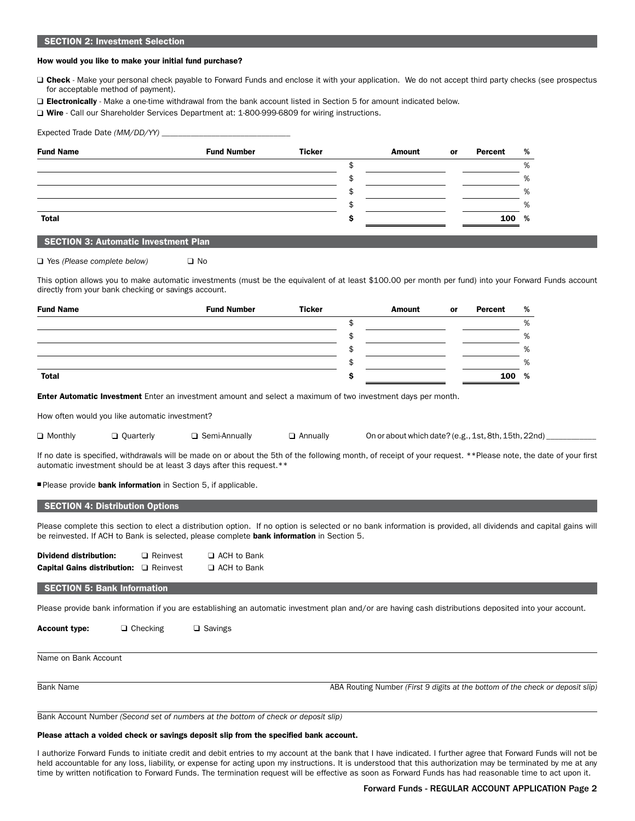#### SECTION 2: Investment Selection

#### How would you like to make your initial fund purchase?

□ Check - Make your personal check payable to Forward Funds and enclose it with your application. We do not accept third party checks (see prospectus for acceptable method of payment).

Electronically - Make a one-time withdrawal from the bank account listed in Section 5 for amount indicated below.

□ Wire - Call our Shareholder Services Department at: 1-800-999-6809 for wiring instructions.

| Expected Trade Date (MM/DD/YY) _ |  |  |  |
|----------------------------------|--|--|--|
|                                  |  |  |  |

|  | Amount | or | Percent | %     |
|--|--------|----|---------|-------|
|  |        |    |         | %     |
|  |        |    |         | %     |
|  |        |    |         | %     |
|  |        |    |         | %     |
|  |        |    |         |       |
|  |        |    |         | 100 % |

#### SECTION 3: Automatic Investment Plan

□ Yes (Please complete below) □ No

This option allows you to make automatic investments (must be the equivalent of at least \$100.00 per month per fund) into your Forward Funds account directly from your bank checking or savings account.

| <b>Fund Name</b> | <b>Fund Number</b> | <b>Ticker</b> | <b>Amount</b> | or | Percent | % |
|------------------|--------------------|---------------|---------------|----|---------|---|
|                  |                    |               |               |    |         | % |
|                  |                    |               |               |    |         | % |
|                  |                    |               |               |    |         | % |
|                  |                    |               |               |    |         | % |
| <b>Total</b>     |                    |               |               |    | 100     | % |

**Enter Automatic Investment** Enter an investment amount and select a maximum of two investment days per month.

How often would you like automatic investment?

 $\Box$  Monthly  $\Box$  Quarterly  $\Box$  Semi-Annually  $\Box$  Annually On or about which date? (e.g., 1st, 8th, 15th, 22nd)

If no date is specified, withdrawals will be made on or about the 5th of the following month, of receipt of your request. \*\*Please note, the date of your first automatic investment should be at least 3 days after this request.\*\*

Please provide bank information in Section 5, if applicable.

#### SECTION 4: Distribution Options

Please complete this section to elect a distribution option. If no option is selected or no bank information is provided, all dividends and capital gains will be reinvested. If ACH to Bank is selected, please complete bank information in Section 5.

| <b>Dividend distribution:</b>      | $\Box$ Reinvest | □ ACH to Bank |
|------------------------------------|-----------------|---------------|
| <b>Capital Gains distribution:</b> | □ Reinvest      | □ ACH to Bank |

#### SECTION 5: Bank Information

Please provide bank information if you are establishing an automatic investment plan and/or are having cash distributions deposited into your account.

**Account type:**  $\Box$  Checking  $\Box$  Savings

Name on Bank Account

Bank Name **ABA Routing Number** *(First 9 digits at the bottom of the check or deposit slip)* **ABA Routing Number** *(First 9 digits at the bottom of the check or deposit slip)* 

Bank Account Number *(Second set of numbers at the bottom of check or deposit slip)*

#### Please attach a voided check or savings deposit slip from the specified bank account.

I authorize Forward Funds to initiate credit and debit entries to my account at the bank that I have indicated. I further agree that Forward Funds will not be held accountable for any loss, liability, or expense for acting upon my instructions. It is understood that this authorization may be terminated by me at any time by written notification to Forward Funds. The termination request will be effective as soon as Forward Funds has had reasonable time to act upon it.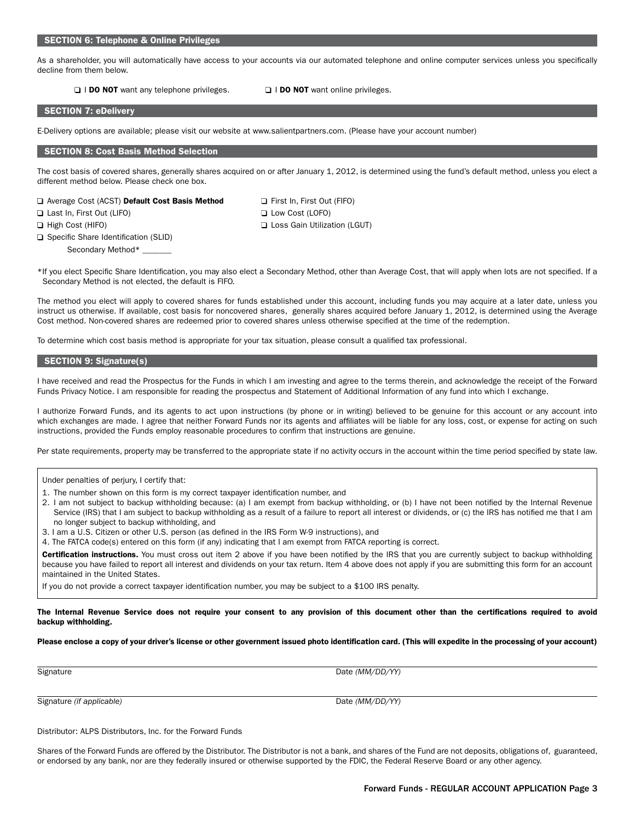#### SECTION 6: Telephone & Online Privileges

As a shareholder, you will automatically have access to your accounts via our automated telephone and online computer services unless you specifically decline from them below.

□ I DO NOT want any telephone privileges. □ I DO NOT want online privileges.

#### SECTION 7: eDelivery

E-Delivery options are available; please visit our website at www.salientpartners.com. (Please have your account number)

#### SECTION 8: Cost Basis Method Selection

The cost basis of covered shares, generally shares acquired on or after January 1, 2012, is determined using the fund's default method, unless you elect a different method below. Please check one box.

| ⊔ Average Cost (ACST) <b>Default Cost Basis Meth</b> |  |  |
|------------------------------------------------------|--|--|
| □ Last In, First Out (LIFO)                          |  |  |

□ Specific Share Identification (SLID) Secondary Method\* \_

od **Q** First In, First Out (FIFO) **Last Incremental** Low Cost (LOFO) □ High Cost (HIFO) CONTINUES CONTINUES CONTINUES CONTINUES CONTINUES CONTINUES CONTINUES CONTINUES CONTINUES CONTINUES CONTINUES CONTINUES CONTINUES CONTINUES CONTINUES CONTINUES CONTINUES CONTINUES CONTINUES CONTINUES CO

\*If you elect Specific Share Identification, you may also elect a Secondary Method, other than Average Cost, that will apply when lots are not specified. If a Secondary Method is not elected, the default is FIFO.

The method you elect will apply to covered shares for funds established under this account, including funds you may acquire at a later date, unless you instruct us otherwise. If available, cost basis for noncovered shares, generally shares acquired before January 1, 2012, is determined using the Average Cost method. Non-covered shares are redeemed prior to covered shares unless otherwise specified at the time of the redemption.

To determine which cost basis method is appropriate for your tax situation, please consult a qualified tax professional.

#### SECTION 9: Signature(s)

I have received and read the Prospectus for the Funds in which I am investing and agree to the terms therein, and acknowledge the receipt of the Forward Funds Privacy Notice. I am responsible for reading the prospectus and Statement of Additional Information of any fund into which I exchange.

I authorize Forward Funds, and its agents to act upon instructions (by phone or in writing) believed to be genuine for this account or any account into which exchanges are made. I agree that neither Forward Funds nor its agents and affiliates will be liable for any loss, cost, or expense for acting on such instructions, provided the Funds employ reasonable procedures to confirm that instructions are genuine.

Per state requirements, property may be transferred to the appropriate state if no activity occurs in the account within the time period specified by state law.

#### Under penalties of perjury, I certify that:

- 1. The number shown on this form is my correct taxpayer identification number, and
- 2. I am not subject to backup withholding because: (a) I am exempt from backup withholding, or (b) I have not been notified by the Internal Revenue Service (IRS) that I am subject to backup withholding as a result of a failure to report all interest or dividends, or (c) the IRS has notified me that I am no longer subject to backup withholding, and
- 3. I am a U.S. Citizen or other U.S. person (as defined in the IRS Form W-9 instructions), and

4. The FATCA code(s) entered on this form (if any) indicating that I am exempt from FATCA reporting is correct.

Certification instructions. You must cross out item 2 above if you have been notified by the IRS that you are currently subject to backup withholding because you have failed to report all interest and dividends on your tax return. Item 4 above does not apply if you are submitting this form for an account maintained in the United States.

If you do not provide a correct taxpayer identification number, you may be subject to a \$100 IRS penalty.

The Internal Revenue Service does not require your consent to any provision of this document other than the certifications required to avoid backup withholding.

Please enclose a copy of your driver's license or other government issued photo identification card. (This will expedite in the processing of your account)

Signature Date *(MM/DD/YY)* 

Signature *(if applicable)* Date *(MM/DD/YY)*

Distributor: ALPS Distributors, Inc. for the Forward Funds

Shares of the Forward Funds are offered by the Distributor. The Distributor is not a bank, and shares of the Fund are not deposits, obligations of, guaranteed, or endorsed by any bank, nor are they federally insured or otherwise supported by the FDIC, the Federal Reserve Board or any other agency.